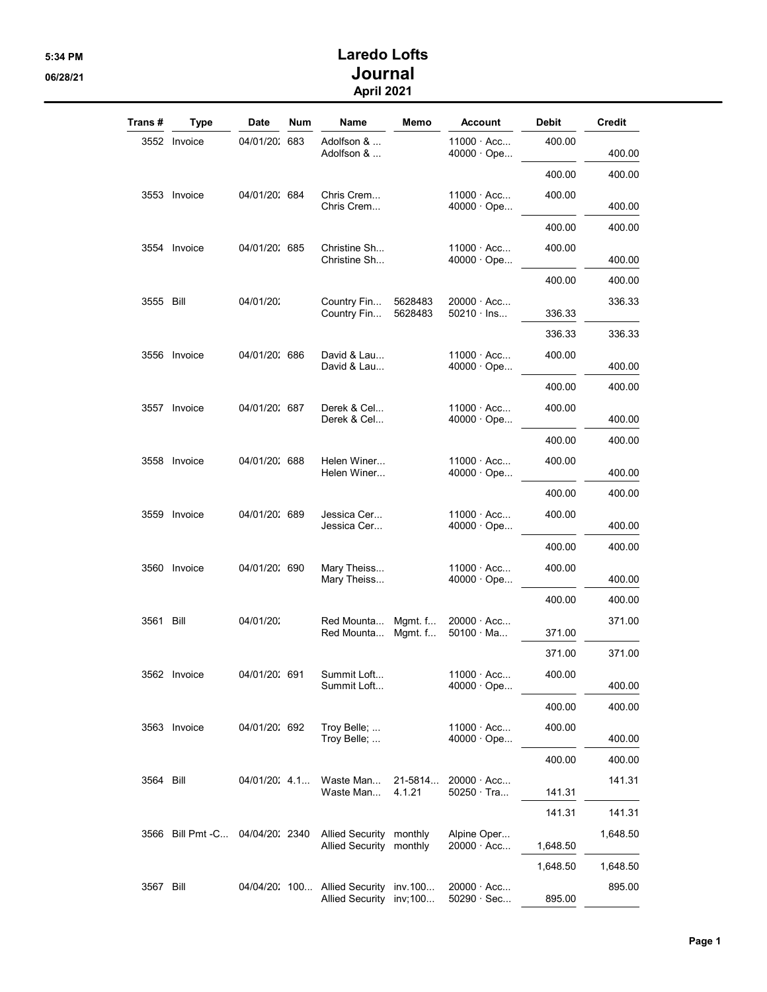## 5:34 PM Laredo Lofts 06/28/21 Journal April 2021

| Trans #   | <b>Type</b>                      | Date           | <b>Num</b> | <b>Name</b>                                              | Memo               | <b>Account</b>                         | <b>Debit</b> | Credit   |
|-----------|----------------------------------|----------------|------------|----------------------------------------------------------|--------------------|----------------------------------------|--------------|----------|
|           | 3552 Invoice                     | 04/01/20: 683  |            | Adolfson &<br>Adolfson &                                 |                    | $11000 \cdot Acc$<br>$40000 \cdot$ Ope | 400.00       | 400.00   |
|           |                                  |                |            |                                                          |                    |                                        | 400.00       | 400.00   |
|           | 3553 Invoice                     | 04/01/20: 684  |            | Chris Crem<br>Chris Crem                                 |                    | $11000 \cdot Acc$<br>$40000 \cdot$ Ope | 400.00       | 400.00   |
|           |                                  |                |            |                                                          |                    |                                        | 400.00       | 400.00   |
|           | 3554 Invoice                     | 04/01/20: 685  |            | Christine Sh<br>Christine Sh                             |                    | $11000 \cdot Acc$<br>$40000 \cdot$ Ope | 400.00       | 400.00   |
|           |                                  |                |            |                                                          |                    |                                        | 400.00       | 400.00   |
| 3555 Bill |                                  | 04/01/20:      |            | Country Fin<br>Country Fin                               | 5628483<br>5628483 | $20000 \cdot Acc$<br>$50210 \cdot$ lns | 336.33       | 336.33   |
|           |                                  |                |            |                                                          |                    |                                        | 336.33       | 336.33   |
|           | 3556 Invoice                     | 04/01/20: 686  |            | David & Lau<br>David & Lau                               |                    | $11000 \cdot Acc$<br>40000 · Ope       | 400.00       | 400.00   |
|           |                                  |                |            |                                                          |                    |                                        | 400.00       | 400.00   |
|           | 3557 Invoice                     | 04/01/20: 687  |            | Derek & Cel<br>Derek & Cel                               |                    | 11000 · Acc<br>$40000 \cdot$ Ope       | 400.00       | 400.00   |
|           |                                  |                |            |                                                          |                    |                                        | 400.00       | 400.00   |
|           | 3558 Invoice                     | 04/01/20: 688  |            | Helen Winer<br>Helen Winer                               |                    | $11000 \cdot Acc$<br>40000 · Ope       | 400.00       | 400.00   |
|           |                                  |                |            |                                                          |                    |                                        | 400.00       | 400.00   |
|           | 3559 Invoice                     | 04/01/20: 689  |            | Jessica Cer<br>Jessica Cer                               |                    | $11000 \cdot Acc$<br>$40000 \cdot$ Ope | 400.00       | 400.00   |
|           |                                  |                |            |                                                          |                    |                                        | 400.00       | 400.00   |
|           | 3560 Invoice                     | 04/01/20: 690  |            | Mary Theiss<br>Mary Theiss                               |                    | $11000 \cdot Acc$<br>$40000 \cdot$ Ope | 400.00       | 400.00   |
|           |                                  |                |            |                                                          |                    |                                        | 400.00       | 400.00   |
| 3561 Bill |                                  | 04/01/20:      |            | Red Mounta<br>Red Mounta                                 | Mgmt. f<br>Mgmt. f | $20000 \cdot Acc$<br>$50100 \cdot Ma$  | 371.00       | 371.00   |
|           |                                  |                |            |                                                          |                    |                                        | 371.00       | 371.00   |
|           | 3562 Invoice                     | 04/01/20: 691  |            | Summit Loft<br>Summit Loft                               |                    | $11000 \cdot Acc$<br>$40000 \cdot$ Ope | 400.00       | 400.00   |
|           |                                  |                |            |                                                          |                    |                                        | 400.00       | 400.00   |
|           | 3563 Invoice                     | 04/01/20: 692  |            | Troy Belle;<br>Troy Belle;                               |                    | 11000 · Acc<br>$40000 \cdot$ Ope       | 400.00       | 400.00   |
|           |                                  |                |            |                                                          |                    |                                        | 400.00       | 400.00   |
| 3564 Bill |                                  | 04/01/20: 4.1. |            | Waste Man<br>Waste Man                                   | 21-5814<br>4.1.21  | $20000 \cdot Acc$<br>$50250 \cdot$ Tra | 141.31       | 141.31   |
|           |                                  |                |            |                                                          |                    |                                        | 141.31       | 141.31   |
|           | 3566 Bill Pmt - C 04/04/20: 2340 |                |            | Allied Security monthly<br>Allied Security monthly       |                    | Alpine Oper<br>$20000 \cdot Acc$       | 1,648.50     | 1,648.50 |
|           |                                  |                |            |                                                          |                    |                                        | 1,648.50     | 1,648.50 |
| 3567 Bill |                                  |                |            | 04/04/20: 100 Allied Security<br>Allied Security inv;100 | inv.100            | $20000 \cdot Acc$<br>50290 · Sec       | 895.00       | 895.00   |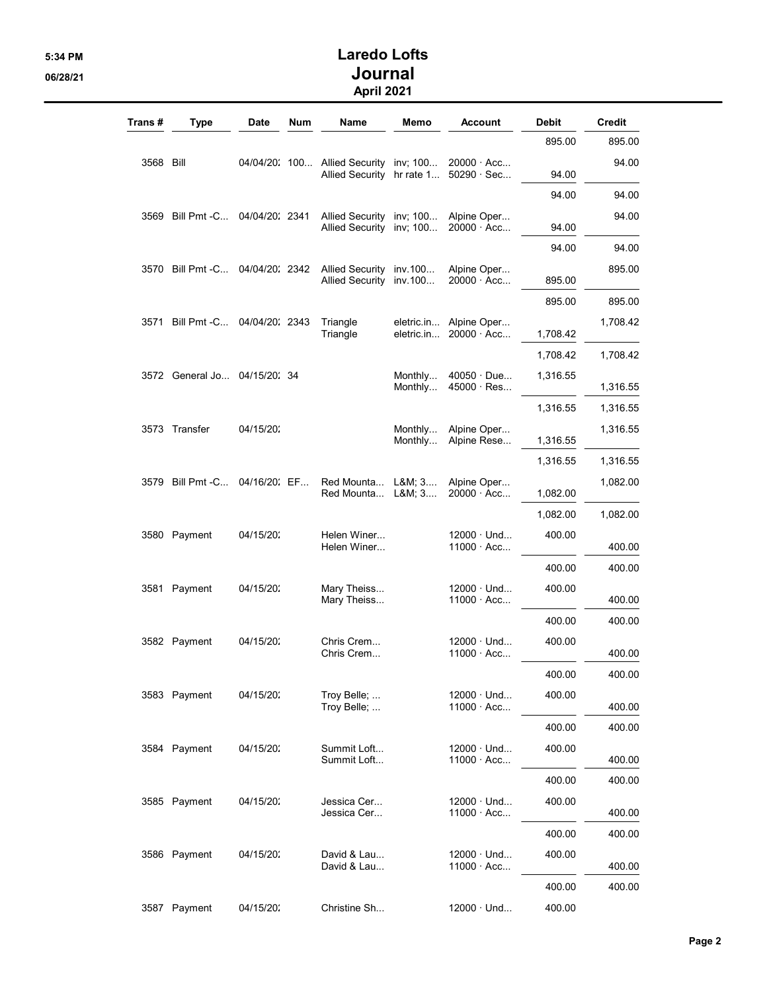## 5:34 PM Laredo Lofts 06/28/21 Journal April 2021

| Trans #   | <b>Type</b>                      | Date      | Num | Name                                                                | Memo               | <b>Account</b>                                         | <b>Debit</b> | Credit   |
|-----------|----------------------------------|-----------|-----|---------------------------------------------------------------------|--------------------|--------------------------------------------------------|--------------|----------|
|           |                                  |           |     |                                                                     |                    |                                                        | 895.00       | 895.00   |
| 3568 Bill |                                  |           |     | 04/04/20: 100 Allied Security inv; 100<br>Allied Security hr rate 1 |                    | $20000 \cdot Acc$<br>$50290 \cdot \text{Sec}$          | 94.00        | 94.00    |
|           |                                  |           |     |                                                                     |                    |                                                        | 94.00        | 94.00    |
|           | 3569 Bill Pmt - C 04/04/20: 2341 |           |     | Allied Security inv; 100<br>Allied Security inv; 100                |                    | Alpine Oper<br>$20000 \cdot Acc$                       | 94.00        | 94.00    |
|           |                                  |           |     |                                                                     |                    |                                                        | 94.00        | 94.00    |
|           | 3570 Bill Pmt -C 04/04/20: 2342  |           |     | Allied Security inv. 100<br>Allied Security inv.100                 |                    | Alpine Oper<br>$20000 \cdot Acc$                       | 895.00       | 895.00   |
|           |                                  |           |     |                                                                     |                    |                                                        | 895.00       | 895.00   |
|           | 3571 Bill Pmt - C 04/04/20: 2343 |           |     | Triangle<br>Triangle                                                |                    | eletric.in Alpine Oper<br>eletric.in $20000 \cdot Acc$ | 1,708.42     | 1,708.42 |
|           |                                  |           |     |                                                                     |                    |                                                        | 1,708.42     | 1,708.42 |
|           | 3572 General Jo 04/15/20: 34     |           |     |                                                                     | Monthly<br>Monthly | $40050 \cdot Due$<br>$45000 \cdot Res$                 | 1,316.55     | 1,316.55 |
|           |                                  |           |     |                                                                     |                    |                                                        | 1,316.55     | 1,316.55 |
|           | 3573 Transfer                    | 04/15/20: |     |                                                                     | Monthly<br>Monthly | Alpine Oper<br>Alpine Rese                             | 1,316.55     | 1,316.55 |
|           |                                  |           |     |                                                                     |                    |                                                        | 1,316.55     | 1,316.55 |
|           | 3579 Bill Pmt - C 04/16/20: EF   |           |     | Red Mounta L&M 3<br>Red Mounta L&M 3                                |                    | Alpine Oper<br>$20000 \cdot Acc$                       | 1,082.00     | 1,082.00 |
|           |                                  |           |     |                                                                     |                    |                                                        | 1,082.00     | 1,082.00 |
|           | 3580 Payment                     | 04/15/20: |     | Helen Winer<br>Helen Winer                                          |                    | $12000 \cdot$ Und<br>$11000 \cdot Acc$                 | 400.00       | 400.00   |
|           |                                  |           |     |                                                                     |                    |                                                        | 400.00       | 400.00   |
|           | 3581 Payment                     | 04/15/20: |     | Mary Theiss<br>Mary Theiss                                          |                    | $12000 \cdot$ Und<br>$11000 \cdot Acc$                 | 400.00       | 400.00   |
|           |                                  |           |     |                                                                     |                    |                                                        | 400.00       | 400.00   |
|           | 3582 Payment                     | 04/15/20: |     | Chris Crem<br>Chris Crem                                            |                    | $12000 \cdot$ Und<br>$11000 \cdot Acc$                 | 400.00       | 400.00   |
|           |                                  |           |     |                                                                     |                    |                                                        | 400.00       | 400.00   |
|           | 3583 Payment                     | 04/15/20: |     | Troy Belle;<br>Troy Belle;                                          |                    | $12000 \cdot$ Und<br>$11000 \cdot Acc$                 | 400.00       | 400.00   |
|           |                                  |           |     |                                                                     |                    |                                                        | 400.00       | 400.00   |
|           | 3584 Payment                     | 04/15/20: |     | Summit Loft<br>Summit Loft                                          |                    | $12000 \cdot$ Und<br>$11000 \cdot Acc$                 | 400.00       | 400.00   |
|           |                                  |           |     |                                                                     |                    |                                                        | 400.00       | 400.00   |
|           | 3585 Payment                     | 04/15/20: |     | Jessica Cer<br>Jessica Cer                                          |                    | $12000 \cdot$ Und<br>11000 · Acc                       | 400.00       | 400.00   |
|           |                                  |           |     |                                                                     |                    |                                                        | 400.00       | 400.00   |
|           | 3586 Payment                     | 04/15/20: |     | David & Lau<br>David & Lau                                          |                    | $12000 \cdot$ Und<br>$11000 \cdot Acc$                 | 400.00       | 400.00   |
|           |                                  |           |     |                                                                     |                    |                                                        | 400.00       | 400.00   |
| 3587      | Payment                          | 04/15/20: |     | Christine Sh                                                        |                    | $12000 \cdot$ Und                                      | 400.00       |          |